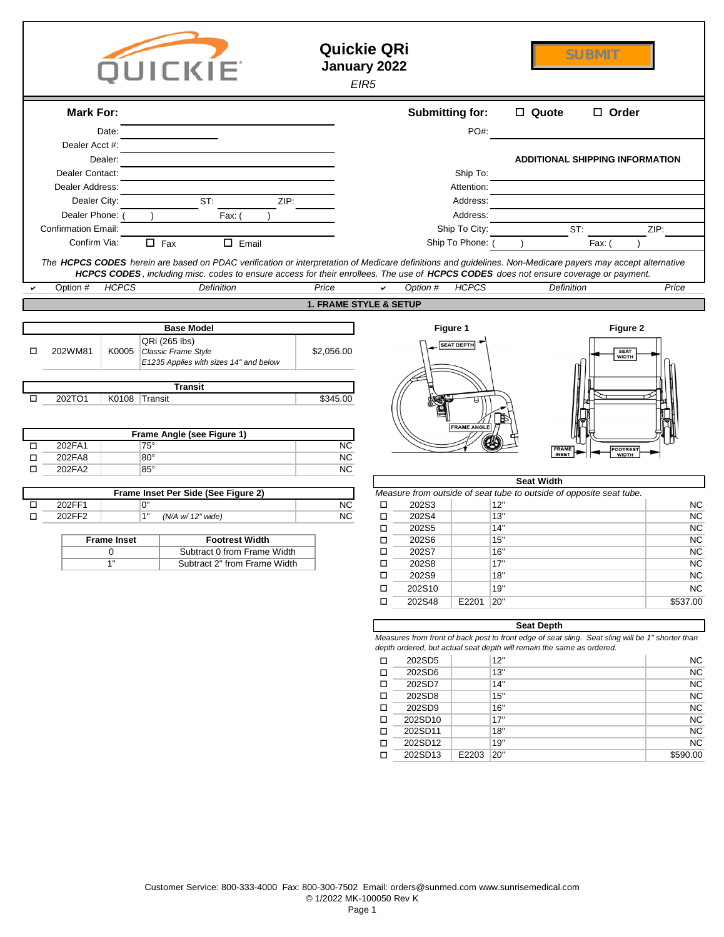|        |                                            |                    | QUICKIE                              |                                                                                                                                                                                                                                                                                                    | <b>Quickie QRi</b><br>January 2022 | EIR <sub>5</sub> |                        |                                   |                                                                                                                                                                           | <b>SUBMIT</b>                          |                 |
|--------|--------------------------------------------|--------------------|--------------------------------------|----------------------------------------------------------------------------------------------------------------------------------------------------------------------------------------------------------------------------------------------------------------------------------------------------|------------------------------------|------------------|------------------------|-----------------------------------|---------------------------------------------------------------------------------------------------------------------------------------------------------------------------|----------------------------------------|-----------------|
|        | <b>Mark For:</b>                           |                    |                                      |                                                                                                                                                                                                                                                                                                    |                                    |                  | <b>Submitting for:</b> |                                   | □ Quote                                                                                                                                                                   | $\Box$ Order                           |                 |
|        |                                            | Date:              |                                      |                                                                                                                                                                                                                                                                                                    |                                    |                  |                        | PO#:                              |                                                                                                                                                                           |                                        |                 |
|        | Dealer Acct #:                             | Dealer:            |                                      |                                                                                                                                                                                                                                                                                                    |                                    |                  |                        |                                   |                                                                                                                                                                           | <b>ADDITIONAL SHIPPING INFORMATION</b> |                 |
|        | Dealer Contact:                            |                    |                                      |                                                                                                                                                                                                                                                                                                    |                                    |                  |                        | Ship To:                          |                                                                                                                                                                           |                                        |                 |
|        | Dealer Address:                            |                    |                                      |                                                                                                                                                                                                                                                                                                    |                                    |                  |                        | Attention:                        |                                                                                                                                                                           |                                        |                 |
|        | Dealer City:                               |                    |                                      | ST:<br>ZIP:                                                                                                                                                                                                                                                                                        |                                    |                  |                        | Address:                          |                                                                                                                                                                           |                                        |                 |
|        | Dealer Phone:                              |                    |                                      | Fax:                                                                                                                                                                                                                                                                                               |                                    |                  |                        | Address:                          |                                                                                                                                                                           |                                        |                 |
|        | <b>Confirmation Email:</b><br>Confirm Via: |                    | $\Box$ Fax                           | $\Box$ Email                                                                                                                                                                                                                                                                                       |                                    |                  |                        | Ship To City:<br>Ship To Phone: ( |                                                                                                                                                                           | ST:<br>Fax:                            | ZIP:            |
|        |                                            |                    |                                      |                                                                                                                                                                                                                                                                                                    |                                    |                  |                        |                                   |                                                                                                                                                                           |                                        |                 |
|        |                                            |                    |                                      | The HCPCS CODES herein are based on PDAC verification or interpretation of Medicare definitions and guidelines. Non-Medicare payers may accept alternative<br>HCPCS CODES, including misc. codes to ensure access for their enrollees. The use of HCPCS CODES does not ensure coverage or payment. |                                    |                  |                        |                                   |                                                                                                                                                                           |                                        |                 |
|        | Option #                                   | <b>HCPCS</b>       |                                      | Definition                                                                                                                                                                                                                                                                                         | Price                              | ✓                | Option #               | <b>HCPCS</b>                      | Definition                                                                                                                                                                |                                        | Price           |
|        |                                            |                    |                                      |                                                                                                                                                                                                                                                                                                    | <b>1. FRAME STYLE &amp; SETUP</b>  |                  |                        |                                   |                                                                                                                                                                           |                                        |                 |
|        |                                            |                    | <b>Base Model</b>                    |                                                                                                                                                                                                                                                                                                    |                                    |                  |                        | Figure 1                          |                                                                                                                                                                           | Figure 2                               |                 |
| □      | 202WM81                                    | K0005              | QRi (265 lbs)<br>Classic Frame Style | E1235 Applies with sizes 14" and below                                                                                                                                                                                                                                                             | \$2,056.00                         |                  |                        | <b>SEAT DEPTH</b>                 |                                                                                                                                                                           | SEAT<br>WIDTH                          |                 |
|        |                                            |                    | <b>Transit</b>                       |                                                                                                                                                                                                                                                                                                    |                                    |                  |                        |                                   |                                                                                                                                                                           |                                        |                 |
| $\Box$ | 202TO1                                     |                    | K0108 Transit                        |                                                                                                                                                                                                                                                                                                    | \$345.00                           |                  |                        | <b>FRAME ANGLE</b>                |                                                                                                                                                                           |                                        |                 |
|        |                                            |                    |                                      | Frame Angle (see Figure 1)                                                                                                                                                                                                                                                                         |                                    |                  |                        |                                   |                                                                                                                                                                           |                                        |                 |
| □<br>□ | 202FA1<br>202FA8                           |                    | 75°<br>$80^{\circ}$                  |                                                                                                                                                                                                                                                                                                    | <b>NC</b><br><b>NC</b>             |                  |                        |                                   | <b>FRAME</b><br>INSET                                                                                                                                                     | FOOTREST<br>WIDTH                      |                 |
| □      | 202FA2                                     |                    | $85^\circ$                           |                                                                                                                                                                                                                                                                                                    | NC                                 |                  |                        |                                   |                                                                                                                                                                           |                                        |                 |
|        |                                            |                    |                                      | Frame Inset Per Side (See Figure 2)                                                                                                                                                                                                                                                                |                                    |                  |                        |                                   | <b>Seat Width</b><br>Measure from outside of seat tube to outside of opposite seat tube.                                                                                  |                                        |                 |
| □      | 202FF1                                     |                    | 0"                                   |                                                                                                                                                                                                                                                                                                    | <b>NC</b>                          | $\Box$           | 202S3                  |                                   | 12"                                                                                                                                                                       |                                        | <b>NC</b>       |
| □      | 202FF2                                     |                    | 1"                                   | (N/A w/ 12" wide)                                                                                                                                                                                                                                                                                  | NC                                 | □                | 202S4                  |                                   | 13"                                                                                                                                                                       |                                        | NC              |
|        |                                            | <b>Frame Inset</b> |                                      | <b>Footrest Width</b>                                                                                                                                                                                                                                                                              |                                    | $\Box$<br>$\Box$ | 202S5<br>202S6         |                                   | 14"<br>15"                                                                                                                                                                |                                        | <b>NC</b><br>NC |
|        |                                            | 0                  |                                      | Subtract 0 from Frame Width                                                                                                                                                                                                                                                                        |                                    | $\Box$           | 202S7                  |                                   | 16"                                                                                                                                                                       |                                        | NC              |
|        |                                            | $\overline{1}$ "   |                                      | Subtract 2" from Frame Width                                                                                                                                                                                                                                                                       |                                    | □                | 202S8                  |                                   | 17"                                                                                                                                                                       |                                        | NC              |
|        |                                            |                    |                                      |                                                                                                                                                                                                                                                                                                    |                                    | $\Box$           | 202S9                  |                                   | 18"<br>19"                                                                                                                                                                |                                        | NC<br>NC        |
|        |                                            |                    |                                      |                                                                                                                                                                                                                                                                                                    |                                    | $\Box$<br>$\Box$ | 202S10<br>202S48       | E2201 20"                         |                                                                                                                                                                           |                                        | \$537.00        |
|        |                                            |                    |                                      |                                                                                                                                                                                                                                                                                                    |                                    |                  |                        |                                   |                                                                                                                                                                           |                                        |                 |
|        |                                            |                    |                                      |                                                                                                                                                                                                                                                                                                    |                                    |                  |                        |                                   | <b>Seat Depth</b>                                                                                                                                                         |                                        |                 |
|        |                                            |                    |                                      |                                                                                                                                                                                                                                                                                                    |                                    |                  |                        |                                   | Measures from front of back post to front edge of seat sling. Seat sling will be 1" shorter than<br>depth ordered, but actual seat depth will remain the same as ordered. |                                        |                 |
|        |                                            |                    |                                      |                                                                                                                                                                                                                                                                                                    |                                    | $\Box$           | 202SD5                 |                                   | 12"                                                                                                                                                                       |                                        | NC              |
|        |                                            |                    |                                      |                                                                                                                                                                                                                                                                                                    |                                    | $\Box$           | 202SD6                 |                                   | 13"                                                                                                                                                                       |                                        | NC              |
|        |                                            |                    |                                      |                                                                                                                                                                                                                                                                                                    |                                    | $\Box$<br>$\Box$ | 202SD7<br>202SD8       |                                   | 14"<br>15"                                                                                                                                                                |                                        | NC<br>NC        |
|        |                                            |                    |                                      |                                                                                                                                                                                                                                                                                                    |                                    | $\Box$           | 202SD9                 |                                   | 16"                                                                                                                                                                       |                                        | NC              |
|        |                                            |                    |                                      |                                                                                                                                                                                                                                                                                                    |                                    | □                | 202SD10                |                                   | 17"                                                                                                                                                                       |                                        | NC              |
|        |                                            |                    |                                      |                                                                                                                                                                                                                                                                                                    |                                    | □                | 202SD11                |                                   | 18"                                                                                                                                                                       |                                        | NC              |
|        |                                            |                    |                                      |                                                                                                                                                                                                                                                                                                    |                                    | □                | 202SD12                |                                   | 19"                                                                                                                                                                       |                                        | NC              |
|        |                                            |                    |                                      |                                                                                                                                                                                                                                                                                                    |                                    | □                | 202SD13                | E2203 20"                         |                                                                                                                                                                           |                                        | \$590.00        |
|        |                                            |                    |                                      |                                                                                                                                                                                                                                                                                                    |                                    |                  |                        |                                   |                                                                                                                                                                           |                                        |                 |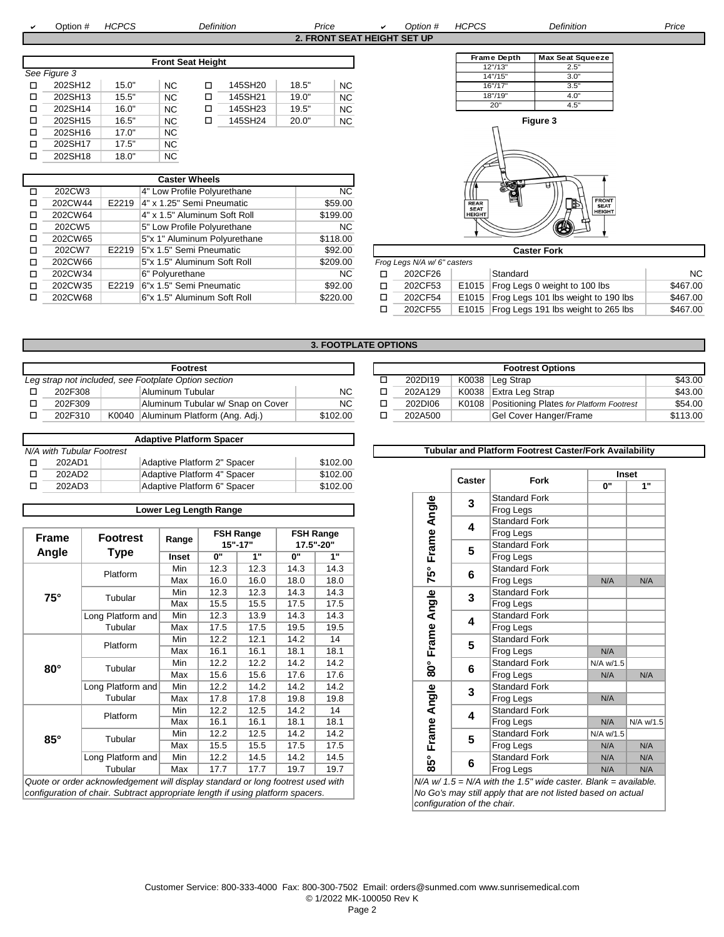a

 Option # *HCPCS Definition Price* <sup>a</sup> *Option # HCPCS Definition Price* **2. FRONT SEAT HEIGHT SET UP**

|   |              |       |                          |   |         |       |           | Frame Depth | Max |
|---|--------------|-------|--------------------------|---|---------|-------|-----------|-------------|-----|
|   |              |       | <b>Front Seat Height</b> |   |         |       |           | 12" / 13"   |     |
|   | See Figure 3 |       |                          |   |         |       |           | 14" / 15"   |     |
| □ | 202SH12      | 15.0" | <b>NC</b>                | ◻ | 145SH20 | 18.5" | <b>NC</b> | 16"/17"     |     |
| □ | 202SH13      | 15.5" | <b>NC</b>                | □ | 145SH21 | 19.0" | <b>NC</b> | 18"/19"     |     |
| □ | 202SH14      | 16.0" | <b>NC</b>                | □ | 145SH23 | 19.5" | <b>NC</b> | 20"         |     |
| □ | 202SH15      | 16.5" | <b>NC</b>                | □ | 145SH24 | 20.0" | <b>NC</b> | Figure 3    |     |
| □ | 202SH16      | 17.0" | <b>NC</b>                |   |         |       |           |             |     |
| □ | 202SH17      | 17.5" | <b>NC</b>                |   |         |       |           |             |     |
|   | 202SH18      | 18.0" | <b>NC</b>                |   |         |       |           |             |     |

|   |         |       | <b>Caster Wheels</b>         |           |        |                             |                            | ``<br>机电压          |
|---|---------|-------|------------------------------|-----------|--------|-----------------------------|----------------------------|--------------------|
| □ | 202CW3  |       | 4" Low Profile Polyurethane  | <b>NC</b> |        |                             |                            |                    |
|   | 202CW44 | E2219 | 4" x 1.25" Semi Pneumatic    | \$59.00   |        |                             | <b>REAR</b><br><b>SEAT</b> | $\blacksquare$     |
|   | 202CW64 |       | 4" x 1.5" Aluminum Soft Roll | \$199.00  |        |                             | <b>HEIGHT</b>              |                    |
| □ | 202CW5  |       | 5" Low Profile Polyurethane  | <b>NC</b> |        |                             |                            | Ø                  |
|   | 202CW65 |       | 5"x 1" Aluminum Polyurethane | \$118.00  |        |                             |                            |                    |
| п | 202CW7  | E2219 | 15"x 1.5" Semi Pneumatic     | \$92.00   |        |                             |                            | <b>Caster Fork</b> |
| п | 202CW66 |       | 5"x 1.5" Aluminum Soft Roll  | \$209.00  |        | Frog Legs N/A w/ 6" casters |                            |                    |
| □ | 202CW34 |       | 6" Polyurethane              | <b>NC</b> | □      | 202CF26                     |                            | Standard           |
| п | 202CW35 | E2219 | 6"x 1.5" Semi Pneumatic      | \$92.00   | $\Box$ | 202CF53                     | E1015                      | Frog Legs 0 weigh  |
|   | 202CW68 |       | 6"x 1.5" Aluminum Soft Roll  | \$220.00  | □      | 202CF54                     | E1015                      | Frog Legs 101 lbs  |
|   |         |       |                              |           |        |                             |                            |                    |





| 202CW7  | E2219 5"x 1.5" Semi Pneumatic | \$92.00  | <b>Caster Fork</b> |                             |  |                                           |           |  |
|---------|-------------------------------|----------|--------------------|-----------------------------|--|-------------------------------------------|-----------|--|
| 202CW66 | 5"x 1.5" Aluminum Soft Roll   | \$209.00 |                    | Frog Legs N/A w/ 6" casters |  |                                           |           |  |
| 202CW34 | ∣6" Polvurethane              | NC.      |                    | 202CF26                     |  | Standard                                  | <b>NC</b> |  |
| 202CW35 | E2219 6"x 1.5" Semi Pneumatic | \$92.00  | □                  | 202CF53                     |  | E1015 Frog Legs 0 weight to 100 lbs       | \$467.00  |  |
| 202CW68 | 6"x 1.5" Aluminum Soft Roll   | \$220.00 | ◻                  | 202CF54                     |  | E1015 Frog Legs 101 lbs weight to 190 lbs | \$467.00  |  |
|         |                               |          |                    | 202CF55                     |  | E1015 Frog Legs 191 lbs weight to 265 lbs | \$467.00  |  |
|         |                               |          |                    |                             |  |                                           |           |  |

# **3. FOOTPLATE OPTIONS**

|                                                      |         |  | <b>Footrest</b>                     |           |  | <b>Footrest Options</b> |         |  |                                                |
|------------------------------------------------------|---------|--|-------------------------------------|-----------|--|-------------------------|---------|--|------------------------------------------------|
| Leg strap not included, see Footplate Option section |         |  |                                     |           |  |                         | 202D119 |  | K0038 Leg Strap                                |
|                                                      | 202F308 |  | Aluminum Tubular                    | <b>NC</b> |  |                         | 202A129 |  | K0038 Extra Leg Strap                          |
|                                                      | 202F309 |  | Aluminum Tubular w/ Snap on Cover   | <b>NC</b> |  |                         | 202DI06 |  | K0108 Positioning Plates for Platform Footrest |
|                                                      | 202F310 |  | K0040 Aluminum Platform (Ang. Adj.) | \$102.00  |  |                         | 202A500 |  | Gel Cover Hanger/Frame                         |
|                                                      |         |  |                                     |           |  |                         |         |  |                                                |

|                           | <b>Adaptive Platform Spacer</b> |          |  |        |                                                              |    |              |
|---------------------------|---------------------------------|----------|--|--------|--------------------------------------------------------------|----|--------------|
| N/A with Tubular Footrest |                                 |          |  |        | <b>Tubular and Platform Footrest Caster/Fork Availabilit</b> |    |              |
| 202AD1                    | Adaptive Platform 2" Spacer     | \$102.00 |  |        |                                                              |    |              |
| 202AD2                    | Adaptive Platform 4" Spacer     | \$102.00 |  |        |                                                              |    | <b>Inset</b> |
| 202AD3                    | Adaptive Platform 6" Spacer     | \$102.00 |  | Caster | Fork                                                         | ሰ" | 4.8          |

# **Lower Leg Length Range**

|                   |                                                                                                               |       |      |                                 |      |                                                                                                                                                                                                    | ч        |                                                              | vianuaru                                                                                                                                                                              |
|-------------------|---------------------------------------------------------------------------------------------------------------|-------|------|---------------------------------|------|----------------------------------------------------------------------------------------------------------------------------------------------------------------------------------------------------|----------|--------------------------------------------------------------|---------------------------------------------------------------------------------------------------------------------------------------------------------------------------------------|
|                   |                                                                                                               |       |      |                                 |      |                                                                                                                                                                                                    |          |                                                              | Frog Legs                                                                                                                                                                             |
|                   |                                                                                                               |       |      |                                 |      |                                                                                                                                                                                                    |          |                                                              | Standard                                                                                                                                                                              |
|                   | Inset                                                                                                         | 0"    | 1"   | 0"                              | 1"   |                                                                                                                                                                                                    |          |                                                              | Frog Legs                                                                                                                                                                             |
|                   | Min                                                                                                           | 12.3  | 12.3 | 14.3                            | 14.3 |                                                                                                                                                                                                    |          |                                                              | Standard                                                                                                                                                                              |
|                   | Max                                                                                                           | 16.0  | 16.0 | 18.0                            | 18.0 |                                                                                                                                                                                                    |          |                                                              | Frog Legs                                                                                                                                                                             |
|                   | Min                                                                                                           | 12.3  | 12.3 | 14.3                            | 14.3 |                                                                                                                                                                                                    |          |                                                              | Standard                                                                                                                                                                              |
|                   | Max                                                                                                           | 15.5  | 15.5 | 17.5                            | 17.5 |                                                                                                                                                                                                    |          |                                                              | Frog Legs                                                                                                                                                                             |
| Long Platform and | Min                                                                                                           | 12.3  | 13.9 | 14.3                            | 14.3 |                                                                                                                                                                                                    |          |                                                              | Standard                                                                                                                                                                              |
| Tubular           | Max                                                                                                           | 17.5  | 17.5 | 19.5                            | 19.5 |                                                                                                                                                                                                    |          |                                                              | Frog Legs                                                                                                                                                                             |
|                   | Min                                                                                                           | 12.2  | 12.1 | 14.2                            | 14   |                                                                                                                                                                                                    |          |                                                              | Standard                                                                                                                                                                              |
|                   | Max                                                                                                           | 16.1  | 16.1 | 18.1                            | 18.1 |                                                                                                                                                                                                    |          |                                                              | Frog Legs                                                                                                                                                                             |
| Tubular           | Min                                                                                                           | 12.2  | 12.2 | 14.2                            | 14.2 |                                                                                                                                                                                                    |          |                                                              | Standard                                                                                                                                                                              |
|                   | Max                                                                                                           | 15.6  | 15.6 | 17.6                            | 17.6 |                                                                                                                                                                                                    |          |                                                              | Frog Legs                                                                                                                                                                             |
|                   | Min                                                                                                           | 12.2  | 14.2 | 14.2                            | 14.2 |                                                                                                                                                                                                    |          |                                                              | Standard                                                                                                                                                                              |
| Tubular           | Max                                                                                                           | 17.8  | 17.8 | 19.8                            | 19.8 |                                                                                                                                                                                                    |          |                                                              | Frog Legs                                                                                                                                                                             |
|                   | Min                                                                                                           | 12.2  | 12.5 | 14.2                            | 14   |                                                                                                                                                                                                    |          |                                                              | Standard                                                                                                                                                                              |
|                   | Max                                                                                                           | 16.1  | 16.1 | 18.1                            | 18.1 |                                                                                                                                                                                                    |          |                                                              | Frog Legs                                                                                                                                                                             |
|                   | Min                                                                                                           | 12.2  | 12.5 | 14.2                            | 14.2 |                                                                                                                                                                                                    |          |                                                              | Standard                                                                                                                                                                              |
|                   | Max                                                                                                           | 15.5  | 15.5 | 17.5                            | 17.5 |                                                                                                                                                                                                    |          |                                                              | Frog Legs                                                                                                                                                                             |
| Long Platform and | Min                                                                                                           | 12.2  | 14.5 | 14.2                            | 14.5 |                                                                                                                                                                                                    |          |                                                              | Standard                                                                                                                                                                              |
| Tubular           | Max                                                                                                           | 17.7  | 17.7 | 19.7                            | 19.7 |                                                                                                                                                                                                    | $\infty$ |                                                              | Frog Legs                                                                                                                                                                             |
|                   |                                                                                                               |       |      |                                 |      |                                                                                                                                                                                                    |          |                                                              |                                                                                                                                                                                       |
|                   |                                                                                                               |       |      |                                 |      |                                                                                                                                                                                                    |          |                                                              |                                                                                                                                                                                       |
|                   | <b>Footrest</b><br><b>Type</b><br>Platform<br>Tubular<br>Platform<br>Long Platform and<br>Platform<br>Tubular | Range |      | <b>FSH Range</b><br>$15" - 17"$ |      | <b>FSH Range</b><br>17.5"-20"<br>Quote or order acknowledgement will display standard or long footrest used with<br>configuration of chair. Subtract appropriate length if using platform spacers. |          | Frame<br>75°<br>Angle<br>Frame<br>និ<br>Angle<br>Frame<br>ιő | 4<br>5<br>$6\phantom{1}$<br>3<br>4<br>5<br>$6\phantom{1}$<br>$\overline{3}$<br>$\overline{\mathbf{4}}$<br>5<br>6<br>$N/A$ w/ 1.5 = N/A with the 1.5<br>No Go's may still apply that a |

|                                               |  | Footrest                              |           |  | <b>Footrest Options</b> |         |  |                                                |          |  |  |
|-----------------------------------------------|--|---------------------------------------|-----------|--|-------------------------|---------|--|------------------------------------------------|----------|--|--|
| ap not included, see Footplate Option section |  |                                       |           |  |                         | 202D119 |  | K0038 Leg Strap                                | \$43.00  |  |  |
| 202F308                                       |  | Aluminum Tubular                      | NC        |  |                         | 202A129 |  | K0038 Extra Leg Strap                          | \$43.00  |  |  |
| 202F309                                       |  | Aluminum Tubular w/ Snap on Cover     | <b>NC</b> |  |                         | 202DI06 |  | K0108 Positioning Plates for Platform Footrest | \$54.00  |  |  |
| 202F310                                       |  | K0040   Aluminum Platform (Ang. Adj.) | \$102.00  |  |                         | 202A500 |  | Gel Cover Hanger/Frame                         | \$113.00 |  |  |
|                                               |  |                                       |           |  |                         |         |  |                                                |          |  |  |

### **Tubular and Platform Footrest Caster/Fork Availability**

| e Platform 4" Spacer<br>\$102.00              |                      |      |      |                  | Caster          | <b>Fork</b>                                                 |                                                                    | <b>Inset</b> |             |  |
|-----------------------------------------------|----------------------|------|------|------------------|-----------------|-------------------------------------------------------------|--------------------------------------------------------------------|--------------|-------------|--|
|                                               | e Platform 6" Spacer |      |      | \$102.00         |                 |                                                             |                                                                    | 0"           | 1"          |  |
|                                               |                      |      |      |                  |                 | 3                                                           | <b>Standard Fork</b>                                               |              |             |  |
|                                               | eg Length Range      |      |      |                  |                 |                                                             | Frog Legs                                                          |              |             |  |
|                                               |                      |      |      |                  | Angle           | 4                                                           | <b>Standard Fork</b>                                               |              |             |  |
|                                               | <b>FSH Range</b>     |      |      | <b>FSH Range</b> |                 |                                                             | Frog Legs                                                          |              |             |  |
| ange                                          | $15" - 17"$          |      |      | 17.5"-20"        |                 | 5                                                           | <b>Standard Fork</b>                                               |              |             |  |
| nset                                          | 0"                   | 1"   | 0"   | 1"               | Frame.          |                                                             | Frog Legs                                                          |              |             |  |
| Min                                           | 12.3                 | 12.3 | 14.3 | 14.3             | $\bullet$<br>Ū٦ | 6                                                           | <b>Standard Fork</b>                                               |              |             |  |
| Max                                           | 16.0                 | 16.0 | 18.0 | 18.0             | Ñ               |                                                             | Frog Legs                                                          | N/A          | N/A         |  |
| <b>Min</b>                                    | 12.3                 | 12.3 | 14.3 | 14.3             |                 | 3                                                           | <b>Standard Fork</b>                                               |              |             |  |
| Max                                           | 15.5                 | 15.5 | 17.5 | 17.5             | Angle           |                                                             | <b>Frog Legs</b>                                                   |              |             |  |
| <b>Min</b>                                    | 12.3                 | 13.9 | 14.3 | 14.3             |                 | 4                                                           | <b>Standard Fork</b>                                               |              |             |  |
| Max                                           | 17.5                 | 17.5 | 19.5 | 19.5             |                 |                                                             | Frog Legs                                                          |              |             |  |
| Min                                           | 12.2                 | 12.1 | 14.2 | 14               | Frame           | 5                                                           | <b>Standard Fork</b>                                               |              |             |  |
| Max                                           | 16.1                 | 16.1 | 18.1 | 18.1             |                 |                                                             | Frog Legs                                                          | N/A          |             |  |
| <b>Min</b>                                    | 12.2                 | 12.2 | 14.2 | 14.2             | $\rm ^{80}$     | 6                                                           | <b>Standard Fork</b>                                               | N/A w/1.5    |             |  |
| Max                                           | 15.6                 | 15.6 | 17.6 | 17.6             |                 |                                                             | Frog Legs                                                          | N/A          | N/A         |  |
| Min                                           | 12.2                 | 14.2 | 14.2 | 14.2             |                 | 3                                                           | <b>Standard Fork</b>                                               |              |             |  |
| Max                                           | 17.8                 | 17.8 | 19.8 | 19.8             |                 |                                                             | Frog Legs                                                          | N/A          |             |  |
| Min                                           | 12.2                 | 12.5 | 14.2 | 14               | Angle           | 4                                                           | <b>Standard Fork</b>                                               |              |             |  |
| Max                                           | 16.1                 | 16.1 | 18.1 | 18.1             | Frame           |                                                             | Frog Legs                                                          | N/A          | $N/A$ w/1.5 |  |
| Min                                           | 12.2                 | 12.5 | 14.2 | 14.2             |                 | 5                                                           | <b>Standard Fork</b>                                               | $N/A$ w/1.5  |             |  |
| Max                                           | 15.5                 | 15.5 | 17.5 | 17.5             |                 |                                                             | Frog Legs                                                          | N/A          | N/A         |  |
| Min                                           | 12.2                 | 14.5 | 14.2 | 14.5             | <b>85°</b>      | 6                                                           | <b>Standard Fork</b>                                               | N/A          | N/A         |  |
| Max                                           | 17.7                 | 17.7 | 19.7 | 19.7             |                 |                                                             | Frog Legs                                                          | N/A          | N/A         |  |
| I display standard or long footrest used with |                      |      |      |                  |                 |                                                             | $N/A$ w/ $1.5 = N/A$ with the 1.5" wide caster. Blank = available. |              |             |  |
| ppriate length if using platform spacers.     |                      |      |      |                  |                 | No Go's may still apply that are not listed based on actual |                                                                    |              |             |  |
|                                               |                      |      |      |                  |                 | configuration of the chair.                                 |                                                                    |              |             |  |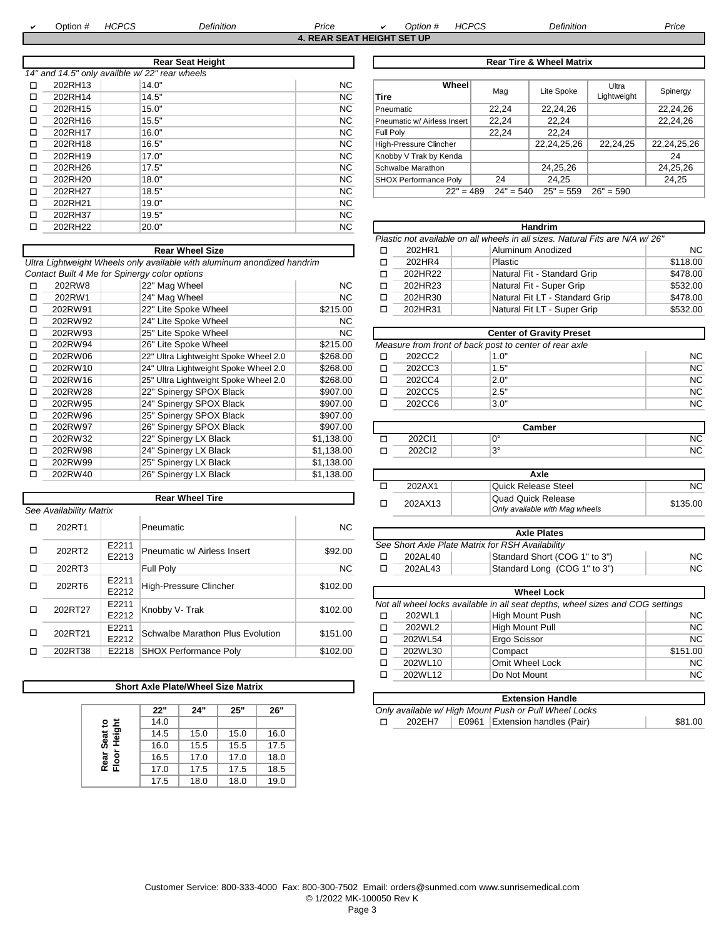a

 Option # *HCPCS Definition Price* <sup>a</sup> *Option # HCPCS Definition Price* **4. REAR SEAT HEIGHT SET UP**

|   |         | <b>Rear Seat Height</b>                       |           |                              |             | <b>Rear Tire &amp; Wheel Matrix</b> |             |
|---|---------|-----------------------------------------------|-----------|------------------------------|-------------|-------------------------------------|-------------|
|   |         | 14" and 14.5" only availble w/22" rear wheels |           |                              |             |                                     |             |
| □ | 202RH13 | 14.0"                                         | NC.       | Wheel                        | Mag         | Lite Spoke                          | Ultra       |
| □ | 202RH14 | 14.5"                                         | NC.       | <b>Tire</b>                  |             |                                     | Lightweigh  |
| □ | 202RH15 | 15.0"                                         | <b>NC</b> | Pneumatic                    | 22,24       | 22,24,26                            |             |
| □ | 202RH16 | 15.5"                                         | NC.       | Pneumatic w/ Airless Insert  | 22,24       | 22,24                               |             |
| □ | 202RH17 | 16.0"                                         | NC.       | Full Poly                    | 22.24       | 22.24                               |             |
| □ | 202RH18 | 16.5"                                         | NC.       | High-Pressure Clincher       |             | 22,24,25,26                         | 22,24,25    |
| □ | 202RH19 | 17.0"                                         | NC.       | Knobby V Trak by Kenda       |             |                                     |             |
| □ | 202RH26 | 17.5"                                         | NC.       | Schwalbe Marathon            |             | 24,25,26                            |             |
| □ | 202RH20 | 18.0"                                         | <b>NC</b> | <b>SHOX Performance Polv</b> | 24          | 24,25                               |             |
| □ | 202RH27 | 18.5"                                         | NC.       | $22" = 489$                  | $24" = 540$ | $25" = 559$                         | $26" = 590$ |
| □ | 202RH21 | 19.0"                                         | <b>NC</b> |                              |             |                                     |             |
| п | 202RH37 | 19.5"                                         | NC.       |                              |             |                                     |             |
| □ | 202RH22 | 20.0"                                         | <b>NC</b> |                              |             | <b>Handrim</b>                      |             |
|   |         |                                               |           |                              |             |                                     |             |

**Rear Wheel Size** 

|         | <b>Rear Seat Height</b>                |           | <b>Rear Tire &amp; Wheel Matrix</b> |             |             |             |             |  |  |
|---------|----------------------------------------|-----------|-------------------------------------|-------------|-------------|-------------|-------------|--|--|
|         | 114.5" only availble w/22" rear wheels |           |                                     |             |             |             |             |  |  |
| 202RH13 | 14.0"                                  | NC.       | Wheel                               | Mag         | Lite Spoke  | Ultra       | Spinergy    |  |  |
| 202RH14 | 14.5"                                  | NC.       | Tire                                |             |             | Lightweight |             |  |  |
| 202RH15 | 15.0"                                  | <b>NC</b> | Pneumatic                           | 22,24       | 22,24,26    |             | 22,24,26    |  |  |
| 202RH16 | 15.5"                                  | <b>NC</b> | Pneumatic w/ Airless Insert         | 22.24       | 22.24       |             | 22,24,26    |  |  |
| 202RH17 | 16.0"                                  | <b>NC</b> | Full Poly                           | 22,24       | 22.24       |             |             |  |  |
| 202RH18 | 16.5"                                  | <b>NC</b> | High-Pressure Clincher              |             | 22,24,25,26 | 22,24,25    | 22,24,25,26 |  |  |
| 202RH19 | 17.0"                                  | <b>NC</b> | Knobby V Trak by Kenda              |             |             |             | 24          |  |  |
| 202RH26 | 17.5"                                  | <b>NC</b> | Schwalbe Marathon                   |             | 24,25,26    |             | 24,25,26    |  |  |
| 202RH20 | 18.0"                                  | <b>NC</b> | <b>SHOX Performance Poly</b>        | 24          | 24.25       |             | 24,25       |  |  |
| 202RH27 | 18.5"                                  | <b>NC</b> | $22" = 489$                         | $24" = 540$ | $25" = 559$ | $26" = 590$ |             |  |  |
|         |                                        |           |                                     |             |             |             |             |  |  |

|   | <b>Handrim</b>                                                               |  |                                |                |  |  |  |  |  |  |
|---|------------------------------------------------------------------------------|--|--------------------------------|----------------|--|--|--|--|--|--|
|   | Plastic not available on all wheels in all sizes. Natural Fits are N/A w/26" |  |                                |                |  |  |  |  |  |  |
|   | 202HR1                                                                       |  | Aluminum Anodized              | N <sub>C</sub> |  |  |  |  |  |  |
| п | 202HR4                                                                       |  | <b>Plastic</b>                 | \$118.00       |  |  |  |  |  |  |
| п | 202HR22                                                                      |  | Natural Fit - Standard Grip    | \$478.00       |  |  |  |  |  |  |
| п | 202HR23                                                                      |  | Natural Fit - Super Grip       | \$532.00       |  |  |  |  |  |  |
| п | 202HR30                                                                      |  | Natural Fit LT - Standard Grip | \$478.00       |  |  |  |  |  |  |
|   | 202HR31                                                                      |  | Natural Fit LT - Super Grip    | \$532.00       |  |  |  |  |  |  |

| 202RW93 | 25" Lite Spoke Wheel                  | <b>NC</b> |        | <b>Center of Gravity Preset</b>                        |      |
|---------|---------------------------------------|-----------|--------|--------------------------------------------------------|------|
| 202RW94 | 26" Lite Spoke Wheel                  | \$215.00  |        | Measure from front of back post to center of rear axle |      |
| 202RW06 | 22" Ultra Lightweight Spoke Wheel 2.0 | \$268.00  | 202CC2 | 1.O'                                                   | NC . |
| 202RW10 | 24" Ultra Lightweight Spoke Wheel 2.0 | \$268.00  | 202CC3 | 1.5"                                                   | NC   |
| 202RW16 | 25" Ultra Lightweight Spoke Wheel 2.0 | \$268.00  | 202CC4 | 2.0"                                                   | NC.  |
| 202RW28 | 122" Spinergy SPOX Black              | \$907.00  | 202CC5 | 2.5"                                                   | NC   |
| 202RW95 | 24" Spinergy SPOX Black               | \$907.00  | 202CC6 | 3.0"                                                   | NC.  |
|         |                                       |           |        |                                                        |      |

| 202RW97 | 26" Spinergy SPOX Black | \$907.00        |   |        | Camber   |           |
|---------|-------------------------|-----------------|---|--------|----------|-----------|
| 202RW32 | 22" Spinergy LX Black   | .138.00<br>لل   | − | 202C11 | $\alpha$ | NC        |
| 202RW98 | 24" Spinergy LX Black   | ,138.00<br>JD I |   | 202Cl2 | $\Omega$ | <b>NC</b> |

| Spinergy LX Black      | \$1,138.00 | Axle |         |                                |          |  |  |
|------------------------|------------|------|---------|--------------------------------|----------|--|--|
|                        |            |      | 202AX1  | Quick Release Steel            | ΝC       |  |  |
| <b>Rear Wheel Tire</b> |            |      | 202AX13 | Quad Quick Release             | \$135.00 |  |  |
|                        |            |      |         | Only available with Mag wheels |          |  |  |

| 494.NU |       | nuunauv                     | 1 Y V   |                                                  |         | <b>Axle Plates</b>            |    |  |
|--------|-------|-----------------------------|---------|--------------------------------------------------|---------|-------------------------------|----|--|
| 202RT2 | E2211 | Pneumatic w/ Airless Insert | \$92.00 | See Short Axle Plate Matrix for RSH Availability |         |                               |    |  |
|        | E2213 |                             |         |                                                  | 202AL40 | Standard Short (COG 1" to 3") | NC |  |
| 202RT3 |       | <b>Full Polv</b>            | ΝC      |                                                  | 202AL43 | Standard Long (COG 1" to 3")  | NC |  |
|        |       |                             |         |                                                  |         |                               |    |  |

| ZUZK 10 | E2212 | <b>High-Pressure Clincher</b>    | <b>JUL-UU</b> | <b>Wheel Lock</b> |         |                                                                                |           |  |  |
|---------|-------|----------------------------------|---------------|-------------------|---------|--------------------------------------------------------------------------------|-----------|--|--|
| 202RT27 | E2211 | Knobby V- Trak                   | \$102.00      |                   |         | Not all wheel locks available in all seat depths, wheel sizes and COG settings |           |  |  |
|         | E2212 |                                  |               |                   | 202WL1  | High Mount Push                                                                | <b>NC</b> |  |  |
| 202RT21 | E2211 | Schwalbe Marathon Plus Evolution | \$151.00      |                   | 202WL2  | High Mount Pull                                                                | <b>NC</b> |  |  |
|         | E2212 |                                  |               |                   | 202WL54 | Ergo Scissor                                                                   | <b>NC</b> |  |  |
| 202RT38 |       | E2218 SHOX Performance Poly      | \$102.00      |                   | 202WL30 | Compact                                                                        | \$151.00  |  |  |
|         |       |                                  |               |                   | 202WL10 | Omit Wheel Lock                                                                | <b>NC</b> |  |  |
|         |       |                                  |               |                   | 202WL12 | Do Not Mount                                                                   | <b>NC</b> |  |  |

|                                                       | <b>Extension Handle</b> |  |                                |         |  |  |  |  |
|-------------------------------------------------------|-------------------------|--|--------------------------------|---------|--|--|--|--|
| Only available w/ High Mount Push or Pull Wheel Locks |                         |  |                                |         |  |  |  |  |
|                                                       | 202EH7                  |  | E0961 Extension handles (Pair) | \$81.00 |  |  |  |  |

| Ultra Lightweight Wheels only available with aluminum anondized handrim |                                               |     |  |  |  |
|-------------------------------------------------------------------------|-----------------------------------------------|-----|--|--|--|
|                                                                         | Contact Built 4 Me for Spinergy color options |     |  |  |  |
| 202RW8                                                                  | l22" Mag Wheel                                | NC. |  |  |  |

| □ | 202RW8  | 22" Mag Wheel                         | NC.        | п      | 202HR23 | Natural Fit - Super Grip                               |
|---|---------|---------------------------------------|------------|--------|---------|--------------------------------------------------------|
| □ | 202RW1  | 24" Mag Wheel                         | NC.        | □      | 202HR30 | Natural Fit LT - Standard                              |
| п | 202RW91 | 22" Lite Spoke Wheel                  | \$215.00   | п      | 202HR31 | Natural Fit LT - Super Gr                              |
| п | 202RW92 | 24" Lite Spoke Wheel                  | NC.        |        |         |                                                        |
| □ | 202RW93 | 25" Lite Spoke Wheel                  | NC.        |        |         | <b>Center of Gravity Preset</b>                        |
| □ | 202RW94 | 26" Lite Spoke Wheel                  | \$215.00   |        |         | Measure from front of back post to center of rear axle |
| □ | 202RW06 | 22" Ultra Lightweight Spoke Wheel 2.0 | \$268.00   | □      | 202CC2  | 1.0"                                                   |
| □ | 202RW10 | 24" Ultra Lightweight Spoke Wheel 2.0 | \$268.00   | □      | 202CC3  | 1.5"                                                   |
| □ | 202RW16 | 25" Ultra Lightweight Spoke Wheel 2.0 | \$268.00   | $\Box$ | 202CC4  | 2.0"                                                   |
| п | 202RW28 | 22" Spinergy SPOX Black               | \$907.00   | □      | 202CC5  | 2.5"                                                   |
| □ | 202RW95 | 24" Spinergy SPOX Black               | \$907.00   | □      | 202CC6  | 3.0"                                                   |
| □ | 202RW96 | 25" Spinergy SPOX Black               | \$907.00   |        |         |                                                        |
| □ | 202RW97 | 26" Spinergy SPOX Black               | \$907.00   |        |         | Camber                                                 |
| □ | 202RW32 | 22" Spinergy LX Black                 | \$1,138.00 | $\Box$ | 202CI1  | 0°                                                     |
| п | 202RW98 | 24" Spinergy LX Black                 | \$1,138.00 | □      | 202Cl2  | $3^\circ$                                              |
| □ | 202RW99 | 25" Spinergy LX Black                 | \$1,138.00 |        |         |                                                        |
| □ | 202RW40 | 26" Spinergy LX Black                 | \$1,138.00 |        |         | Axle                                                   |
|   |         |                                       |            |        | 0.00111 | $\sim$ $\sim$ $\sim$ $\sim$<br>$\sim$                  |

|   |                         |                                             | REAL WILCOL LILC                 |           | □ | 202AX13                                           | Quau Quick Reite                                 |  |
|---|-------------------------|---------------------------------------------|----------------------------------|-----------|---|---------------------------------------------------|--------------------------------------------------|--|
|   | See Availability Matrix |                                             |                                  |           |   |                                                   | Only available with M                            |  |
| □ | 202RT1                  |                                             | Pneumatic                        | <b>NC</b> |   |                                                   |                                                  |  |
|   |                         |                                             |                                  |           |   |                                                   | <b>Axle Plates</b>                               |  |
| □ | 202RT2                  | E2211                                       | Pneumatic w/ Airless Insert      | \$92.00   |   |                                                   | See Short Axle Plate Matrix for RSH Availability |  |
|   |                         | E2213                                       |                                  |           | □ | 202AL40                                           | Standard Short (C                                |  |
| □ | 202RT3                  |                                             | <b>Full Poly</b>                 | <b>NC</b> | □ | 202AL43                                           | Standard Long (C                                 |  |
| □ | 202RT6                  | E2211                                       | High-Pressure Clincher           | \$102.00  |   |                                                   |                                                  |  |
|   |                         | E2212                                       |                                  |           |   | <b>Wheel Lock</b>                                 |                                                  |  |
| □ |                         | E2211<br>Knobby V- Trak<br>202RT27<br>E2212 |                                  | \$102.00  |   | Not all wheel locks available in all seat depths, |                                                  |  |
|   |                         |                                             |                                  |           | □ | 202WL1                                            | High Mount Push                                  |  |
| □ | 202RT21                 | E2211                                       | Schwalbe Marathon Plus Evolution | \$151.00  | □ | 202WL2                                            | High Mount Pull                                  |  |
|   |                         | E2212                                       |                                  |           | п | 202WL54                                           | Ergo Scissor                                     |  |
| п | 202RT38                 | E2218                                       | <b>SHOX Performance Poly</b>     | \$102.00  | п | 202WL30                                           | Compact                                          |  |
|   |                         |                                             |                                  |           |   | 0.00111170                                        |                                                  |  |

## **Short Axle Plate/Wheel Size Matrix**

|                             | 22"  | 24"  | 25"  | 26"  |
|-----------------------------|------|------|------|------|
|                             | 14.0 |      |      |      |
| Seat to<br>Height<br>Seat 1 | 14.5 | 15.0 | 15.0 | 16.0 |
|                             | 16.0 | 15.5 | 15.5 | 17.5 |
| Rear<br>Floor               | 16.5 | 17.0 | 17.0 | 18.0 |
|                             | 17.0 | 17.5 | 17.5 | 18.5 |
|                             | 17.5 | 18.0 | 18.0 | 19.0 |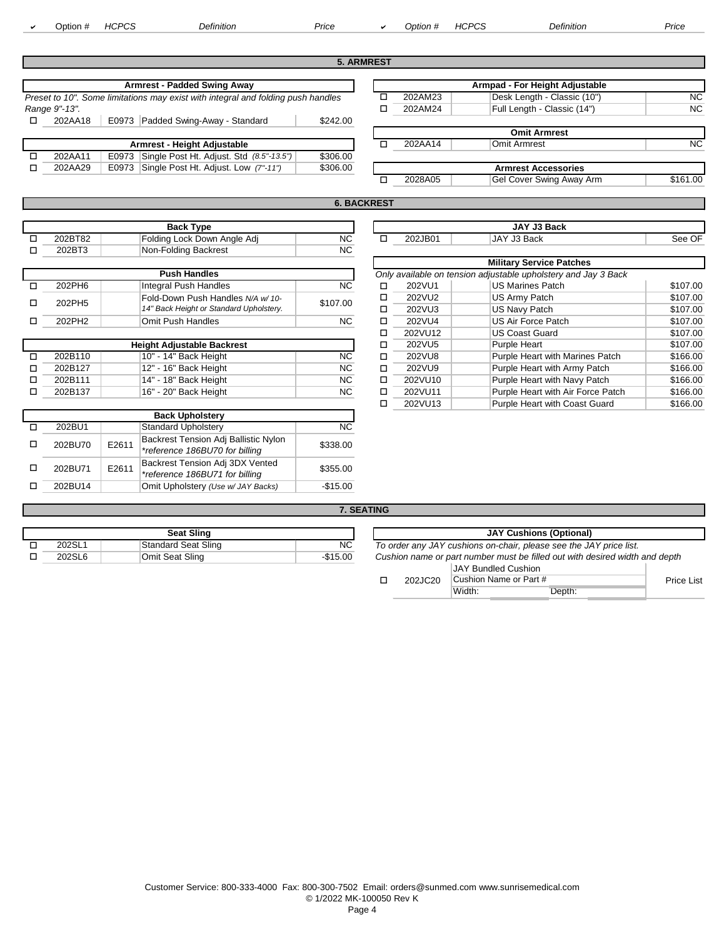Option # *HCPCS Definition Price* <sup>a</sup> *Option # HCPCS Definition Price*

|        |                                                                      |                                                                                  |           | <b>5. ARMREST</b>  |         |                                                                |          |
|--------|----------------------------------------------------------------------|----------------------------------------------------------------------------------|-----------|--------------------|---------|----------------------------------------------------------------|----------|
|        |                                                                      | <b>Armrest - Padded Swing Away</b>                                               |           |                    |         | Armpad - For Height Adjustable                                 |          |
|        |                                                                      | Preset to 10". Some limitations may exist with integral and folding push handles |           | □                  | 202AM23 | Desk Length - Classic (10")                                    | NC.      |
|        | Range 9"-13".                                                        |                                                                                  |           | □                  | 202AM24 | Full Length - Classic (14")                                    | NC.      |
|        | 202AA18                                                              | E0973 Padded Swing-Away - Standard                                               | \$242.00  |                    |         |                                                                |          |
|        |                                                                      |                                                                                  |           |                    |         | <b>Omit Armrest</b>                                            |          |
|        |                                                                      | Armrest - Height Adjustable                                                      |           | □                  | 202AA14 | <b>Omit Armrest</b>                                            | NC.      |
| $\Box$ | 202AA11                                                              | Single Post Ht. Adjust. Std (8.5"-13.5")<br>E0973                                | \$306.00  |                    |         |                                                                |          |
| □      | Single Post Ht. Adjust. Low (7"-11")<br>202AA29<br>\$306.00<br>E0973 |                                                                                  |           |                    |         | <b>Armrest Accessories</b>                                     |          |
|        |                                                                      |                                                                                  |           | □                  | 2028A05 | Gel Cover Swing Away Arm                                       | \$161.00 |
|        |                                                                      |                                                                                  |           |                    |         |                                                                |          |
|        |                                                                      |                                                                                  |           | <b>6. BACKREST</b> |         |                                                                |          |
|        |                                                                      |                                                                                  |           |                    |         |                                                                |          |
|        |                                                                      | <b>Back Type</b>                                                                 |           |                    |         | JAY J3 Back                                                    |          |
| $\Box$ | 202BT82                                                              | Folding Lock Down Angle Adj                                                      | <b>NC</b> | □                  | 202JB01 | JAY J3 Back                                                    | See OF   |
| п      | 202BT3                                                               | Non-Folding Backrest                                                             | <b>NC</b> |                    |         |                                                                |          |
|        |                                                                      |                                                                                  |           |                    |         | <b>Military Service Patches</b>                                |          |
|        |                                                                      | <b>Push Handles</b>                                                              |           |                    |         | Only available on tension adjustable upholstery and Jay 3 Back |          |
| $\Box$ | 202PH6                                                               | Integral Push Handles                                                            | <b>NC</b> | □                  | 202VU1  | <b>US Marines Patch</b>                                        | \$107.00 |
| $\Box$ | 202PH5                                                               | Fold-Down Push Handles N/A w/10-                                                 | \$107.00  | □                  | 202VU2  | US Army Patch                                                  | \$107.00 |
|        |                                                                      | 14" Back Height or Standard Upholstery.                                          |           | ◻                  | 202VU3  | US Navy Patch                                                  | \$107.00 |
| п      | 202PH2                                                               | <b>Omit Push Handles</b>                                                         | <b>NC</b> | □                  | 202VU4  | <b>US Air Force Patch</b>                                      | \$107.00 |
|        |                                                                      |                                                                                  |           | □                  | 202VU12 | <b>US Coast Guard</b>                                          | \$107.00 |
|        |                                                                      | thatalan Authorization Magdagashi                                                |           |                    | 000101  | $D$ and $A$ is the state.                                      | 0.0700   |

| <b>Height Adjustable Backrest</b> |                       |                |   |  |  |  |  |
|-----------------------------------|-----------------------|----------------|---|--|--|--|--|
| 202B110                           | 10" - 14" Back Height | <b>NC</b>      | □ |  |  |  |  |
| 202B127                           | 12" - 16" Back Height | N <sub>C</sub> | □ |  |  |  |  |
| 202B111                           | 14" - 18" Back Height | N <sub>C</sub> | □ |  |  |  |  |
| 202B137                           | 16" - 20" Back Height | <b>NC</b>      | п |  |  |  |  |
|                                   |                       |                | - |  |  |  |  |

| <b>Back Upholstery</b> |       |                                                                        |           |  |  |  |  |  |
|------------------------|-------|------------------------------------------------------------------------|-----------|--|--|--|--|--|
| 202BU1                 |       | <b>Standard Upholstery</b>                                             | NC.       |  |  |  |  |  |
| 202BU70                | E2611 | Backrest Tension Adj Ballistic Nylon<br>*reference 186BU70 for billing | \$338.00  |  |  |  |  |  |
| 202BU71                | E2611 | Backrest Tension Adj 3DX Vented<br>*reference 186BU71 for billing      | \$355.00  |  |  |  |  |  |
| 202BU14                |       | Omit Upholstery (Use w/ JAY Backs)                                     | $-$15.00$ |  |  |  |  |  |

|         |                                         |          |                                                                | <b>Military Service Patches</b> |                                   |          |  |  |  |
|---------|-----------------------------------------|----------|----------------------------------------------------------------|---------------------------------|-----------------------------------|----------|--|--|--|
|         | <b>Push Handles</b>                     |          | Only available on tension adjustable upholstery and Jay 3 Back |                                 |                                   |          |  |  |  |
| 202PH6  | Integral Push Handles                   | ΝC       |                                                                | 202VU1                          | <b>US Marines Patch</b>           | \$107.00 |  |  |  |
| 202PH5  | Fold-Down Push Handles N/A w/10-        | \$107.00 |                                                                | 202VU2                          | US Army Patch                     | \$107.00 |  |  |  |
|         | 14" Back Height or Standard Upholstery. |          |                                                                | 202VU3                          | US Navy Patch                     | \$107.00 |  |  |  |
| 202PH2  | Omit Push Handles                       | NC.      | □                                                              | 202VU4                          | <b>US Air Force Patch</b>         | \$107.00 |  |  |  |
|         |                                         |          |                                                                | 202VU12                         | <b>US Coast Guard</b>             | \$107.00 |  |  |  |
|         | <b>Height Adjustable Backrest</b>       |          |                                                                | 202VU5                          | Purple Heart                      | \$107.00 |  |  |  |
| 202B110 | 10" - 14" Back Height                   | NC.      | □                                                              | 202VU8                          | Purple Heart with Marines Patch   | \$166.00 |  |  |  |
| 202B127 | 12" - 16" Back Height                   | NC.      | □                                                              | 202VU9                          | Purple Heart with Army Patch      | \$166.00 |  |  |  |
| 202B111 | 14" - 18" Back Height                   | NC.      | ◻                                                              | 202VU10                         | Purple Heart with Navy Patch      | \$166.00 |  |  |  |
| 202B137 | 16" - 20" Back Height                   | NC.      |                                                                | 202VU11                         | Purple Heart with Air Force Patch | \$166.00 |  |  |  |
|         |                                         |          |                                                                | 202VU13                         | Purple Heart with Coast Guard     | \$166.00 |  |  |  |

### **7. SEATING**

|        | Seat Sling                 | <b>JAY Cushions (Optional)</b> |                                                                             |
|--------|----------------------------|--------------------------------|-----------------------------------------------------------------------------|
| 202SL  | <b>Standard Seat Sling</b> | NC                             | To order any JAY cushions on-chair, please see the JAY price list.          |
| 202SL6 | Omit Seat Sling            | -\$15.00                       | Cushion name or part number must be filled out with desired width and depth |

| Seat Sling     | <b>JAY Cushions (Optional)</b> |                                                                             |                        |        |            |  |  |  |
|----------------|--------------------------------|-----------------------------------------------------------------------------|------------------------|--------|------------|--|--|--|
| ard Seat Sling | NC.                            | To order any JAY cushions on-chair, please see the JAY price list.          |                        |        |            |  |  |  |
| ieat Sling     | $-\$15.00$                     | Cushion name or part number must be filled out with desired width and depth |                        |        |            |  |  |  |
|                |                                |                                                                             | JAY Bundled Cushion    |        |            |  |  |  |
|                |                                | 202JC20                                                                     | Cushion Name or Part # |        | Price List |  |  |  |
|                |                                |                                                                             | Width:                 | Depth: |            |  |  |  |